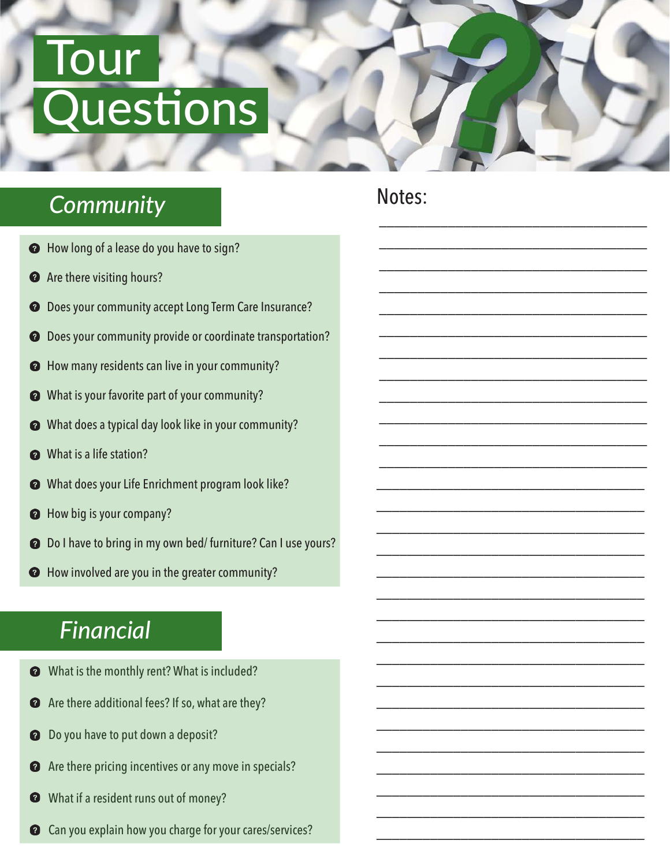# **Tour Questions**

### *Community*

- $\bullet$  How long of a lease do you have to sign?
- Are there visiting hours?  $\boldsymbol{Q}$
- Does your community accept Long Term Care Insurance?  $\boldsymbol{Q}$
- Does your community provide or coordinate transportation?  $\boldsymbol{c}$
- How many residents can live in your community?  $\bullet$
- What is your favorite part of your community?  $\boldsymbol{Q}$
- What does a typical day look like in your community?  $\boldsymbol{Q}$
- What is a life station?
- What does your Life Enrichment program look like?  $\boldsymbol{Q}$
- How big is your company?  $\boldsymbol{Q}$
- Do I have to bring in my own bed/ furniture? Can I use yours?  $\boldsymbol{Q}$
- How involved are you in the greater community?

### *Financial*

- What is the monthly rent? What is included?  $\boldsymbol{Q}$
- Are there additional fees? If so, what are they?  $\boldsymbol{Q}$
- Do you have to put down a deposit?  $\mathbf 6$
- Are there pricing incentives or any move in specials?  $\bullet$
- What if a resident runs out of money? Ø
- Can you explain how you charge for your cares/services?

#### Notes:

\_\_\_\_\_\_\_\_\_\_\_\_\_\_\_\_\_\_\_\_\_\_\_\_\_\_\_\_\_\_\_\_\_\_\_

\_\_\_\_\_\_\_\_\_\_\_\_\_\_\_\_\_\_\_\_\_\_\_\_\_\_\_\_\_\_\_\_\_\_\_

\_\_\_\_\_\_\_\_\_\_\_\_\_\_\_\_\_\_\_\_\_\_\_\_\_\_\_\_\_\_\_\_\_\_\_

\_\_\_\_\_\_\_\_\_\_\_\_\_\_\_\_\_\_\_\_\_\_\_\_\_\_\_\_\_\_\_\_\_\_\_

\_\_\_\_\_\_\_\_\_\_\_\_\_\_\_\_\_\_\_\_\_\_\_\_\_\_\_\_\_\_\_\_\_\_\_

\_\_\_\_\_\_\_\_\_\_\_\_\_\_\_\_\_\_\_\_\_\_\_\_\_\_\_\_\_\_\_\_\_\_\_

\_\_\_\_\_\_\_\_\_\_\_\_\_\_\_\_\_\_\_\_\_\_\_\_\_\_\_\_\_\_\_\_\_\_\_

\_\_\_\_\_\_\_\_\_\_\_\_\_\_\_\_\_\_\_\_\_\_\_\_\_\_\_\_\_\_\_\_\_\_\_

\_\_\_\_\_\_\_\_\_\_\_\_\_\_\_\_\_\_\_\_\_\_\_\_\_\_\_\_\_\_\_\_\_\_\_

\_\_\_\_\_\_\_\_\_\_\_\_\_\_\_\_\_\_\_\_\_\_\_\_\_\_\_\_\_\_\_\_\_\_\_

\_\_\_\_\_\_\_\_\_\_\_\_\_\_\_\_\_\_\_\_\_\_\_\_\_\_\_\_\_\_\_\_\_\_\_

\_\_\_\_\_\_\_\_\_\_\_\_\_\_\_\_\_\_\_\_\_\_\_\_\_\_\_\_\_\_\_\_\_\_\_

\_\_\_\_\_\_\_\_\_\_\_\_\_\_\_\_\_\_\_\_\_\_\_\_\_\_\_\_\_\_\_\_\_\_\_

\_\_\_\_\_\_\_\_\_\_\_\_\_\_\_\_\_\_\_\_\_\_\_\_\_\_\_\_\_\_\_\_\_\_\_

\_\_\_\_\_\_\_\_\_\_\_\_\_\_\_\_\_\_\_\_\_\_\_\_\_\_\_\_\_\_\_\_\_\_\_

\_\_\_\_\_\_\_\_\_\_\_\_\_\_\_\_\_\_\_\_\_\_\_\_\_\_\_\_\_\_\_\_\_\_\_

\_\_\_\_\_\_\_\_\_\_\_\_\_\_\_\_\_\_\_\_\_\_\_\_\_\_\_\_\_\_\_\_\_\_\_

\_\_\_\_\_\_\_\_\_\_\_\_\_\_\_\_\_\_\_\_\_\_\_\_\_\_\_\_\_\_\_\_\_\_\_

\_\_\_\_\_\_\_\_\_\_\_\_\_\_\_\_\_\_\_\_\_\_\_\_\_\_\_\_\_\_\_\_\_\_\_

\_\_\_\_\_\_\_\_\_\_\_\_\_\_\_\_\_\_\_\_\_\_\_\_\_\_\_\_\_\_\_\_\_\_\_

\_\_\_\_\_\_\_\_\_\_\_\_\_\_\_\_\_\_\_\_\_\_\_\_\_\_\_\_\_\_\_\_\_\_\_

\_\_\_\_\_\_\_\_\_\_\_\_\_\_\_\_\_\_\_\_\_\_\_\_\_\_\_\_\_\_\_\_\_\_\_

\_\_\_\_\_\_\_\_\_\_\_\_\_\_\_\_\_\_\_\_\_\_\_\_\_\_\_\_\_\_\_\_\_\_\_

\_\_\_\_\_\_\_\_\_\_\_\_\_\_\_\_\_\_\_\_\_\_\_\_\_\_\_\_\_\_\_\_\_\_\_

\_\_\_\_\_\_\_\_\_\_\_\_\_\_\_\_\_\_\_\_\_\_\_\_\_\_\_\_\_\_\_\_\_\_\_

\_\_\_\_\_\_\_\_\_\_\_\_\_\_\_\_\_\_\_\_\_\_\_\_\_\_\_\_\_\_\_\_\_\_\_

\_\_\_\_\_\_\_\_\_\_\_\_\_\_\_\_\_\_\_\_\_\_\_\_\_\_\_\_\_\_\_\_\_\_\_

\_\_\_\_\_\_\_\_\_\_\_\_\_\_\_\_\_\_\_\_\_\_\_\_\_\_\_\_\_\_\_\_\_\_\_

\_\_\_\_\_\_\_\_\_\_\_\_\_\_\_\_\_\_\_\_\_\_\_\_\_\_\_\_\_\_\_\_\_\_\_